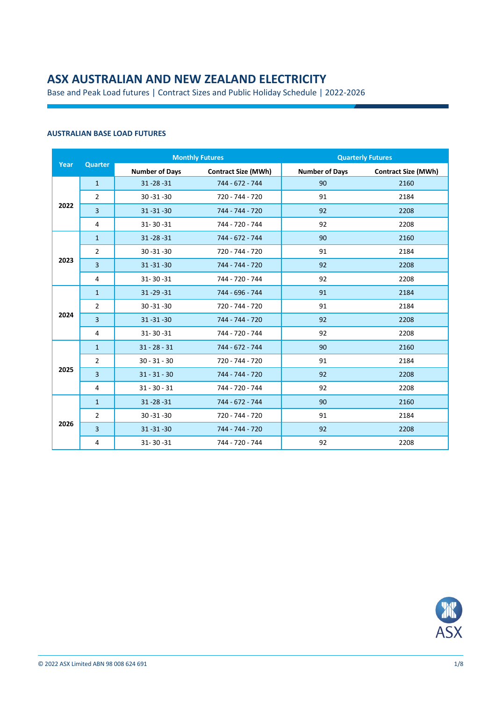# **ASX AUSTRALIAN AND NEW ZEALAND ELECTRICITY**

Base and Peak Load futures | Contract Sizes and Public Holiday Schedule | 2022-2026

### **AUSTRALIAN BASE LOAD FUTURES**

|      |                |                       | <b>Monthly Futures</b>     | <b>Quarterly Futures</b> |                            |  |
|------|----------------|-----------------------|----------------------------|--------------------------|----------------------------|--|
| Year | Quarter        | <b>Number of Days</b> | <b>Contract Size (MWh)</b> | <b>Number of Days</b>    | <b>Contract Size (MWh)</b> |  |
|      | $\mathbf{1}$   | $31 - 28 - 31$        | 744 - 672 - 744            | 90                       | 2160                       |  |
|      | $\overline{2}$ | $30 - 31 - 30$        | 720 - 744 - 720            | 91                       | 2184                       |  |
| 2022 | $\overline{3}$ | $31 - 31 - 30$        | 744 - 744 - 720            | 92                       | 2208                       |  |
|      | 4              | $31 - 30 - 31$        | 744 - 720 - 744            | 92                       | 2208                       |  |
|      | $\mathbf{1}$   | $31 - 28 - 31$        | 744 - 672 - 744            | 90                       | 2160                       |  |
|      | $\overline{2}$ | $30 - 31 - 30$        | 720 - 744 - 720            | 91                       | 2184                       |  |
| 2023 | $\overline{3}$ | $31 - 31 - 30$        | 744 - 744 - 720            | 92                       | 2208                       |  |
|      | 4              | $31 - 30 - 31$        | 744 - 720 - 744            | 92                       | 2208                       |  |
|      | $\mathbf{1}$   | $31 - 29 - 31$        | 744 - 696 - 744            | 91                       | 2184                       |  |
|      | $\overline{2}$ | $30 - 31 - 30$        | 720 - 744 - 720            | 91                       | 2184                       |  |
| 2024 | $\overline{3}$ | $31 - 31 - 30$        | 744 - 744 - 720            | 92                       | 2208                       |  |
|      | $\overline{4}$ | $31 - 30 - 31$        | 744 - 720 - 744            | 92                       | 2208                       |  |
|      | $\mathbf{1}$   | $31 - 28 - 31$        | 744 - 672 - 744            | 90                       | 2160                       |  |
|      | $\overline{2}$ | $30 - 31 - 30$        | 720 - 744 - 720            | 91                       | 2184                       |  |
| 2025 | 3              | $31 - 31 - 30$        | 744 - 744 - 720            | 92                       | 2208                       |  |
|      | 4              | $31 - 30 - 31$        | 744 - 720 - 744            | 92                       | 2208                       |  |
|      | $\mathbf{1}$   | $31 - 28 - 31$        | 744 - 672 - 744            | 90                       | 2160                       |  |
|      | $\overline{2}$ | $30 - 31 - 30$        | 720 - 744 - 720            | 91                       | 2184                       |  |
| 2026 | $\overline{3}$ | $31 - 31 - 30$        | 744 - 744 - 720            | 92                       | 2208                       |  |
|      | 4              | $31 - 30 - 31$        | 744 - 720 - 744            | 92                       | 2208                       |  |

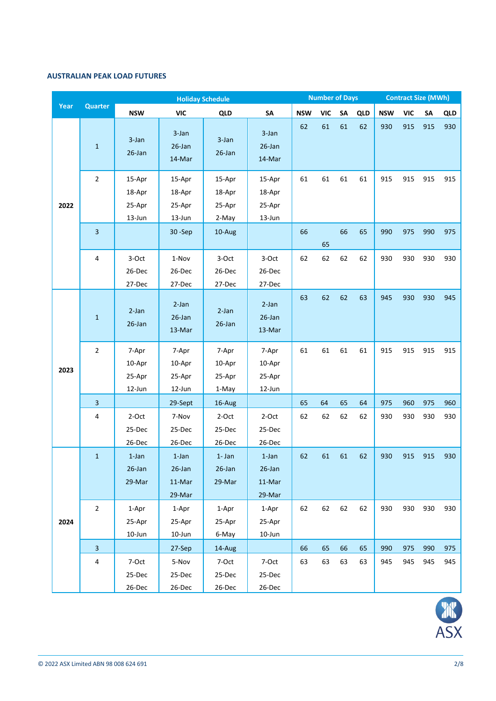### **AUSTRALIAN PEAK LOAD FUTURES**

|      |                         | <b>Holiday Schedule</b>              |                                           |                                     |                                        | <b>Number of Days</b> |            |    | <b>Contract Size (MWh)</b> |            |            |           |            |
|------|-------------------------|--------------------------------------|-------------------------------------------|-------------------------------------|----------------------------------------|-----------------------|------------|----|----------------------------|------------|------------|-----------|------------|
| Year | <b>Quarter</b>          | <b>NSW</b>                           | <b>VIC</b>                                | <b>QLD</b>                          | <b>SA</b>                              | <b>NSW</b>            | <b>VIC</b> | SA | QLD                        | <b>NSW</b> | <b>VIC</b> | <b>SA</b> | <b>QLD</b> |
|      | $\mathbf{1}$            | 3-Jan<br>$26$ -Jan                   | 3-Jan<br>$26$ -Jan<br>14-Mar              | $3$ -Jan<br>$26$ -Jan               | $3 - Jan$<br>26-Jan<br>14-Mar          | 62                    | 61         | 61 | 62                         | 930        | 915        | 915       | 930        |
| 2022 | $\overline{2}$          | 15-Apr<br>18-Apr<br>25-Apr<br>13-Jun | 15-Apr<br>18-Apr<br>25-Apr<br>13-Jun      | 15-Apr<br>18-Apr<br>25-Apr<br>2-May | 15-Apr<br>18-Apr<br>25-Apr<br>13-Jun   | 61                    | 61         | 61 | 61                         | 915        | 915        | 915       | 915        |
|      | 3                       |                                      | $30 - Sep$                                | 10-Aug                              |                                        | 66                    | 65         | 66 | 65                         | 990        | 975        | 990       | 975        |
|      | 4                       | 3-Oct<br>26-Dec<br>27-Dec            | 1-Nov<br>26-Dec<br>27-Dec                 | 3-Oct<br>26-Dec<br>27-Dec           | 3-Oct<br>26-Dec<br>27-Dec              | 62                    | 62         | 62 | 62                         | 930        | 930        | 930       | 930        |
|      | $\mathbf 1$             | $2-Ian$<br>$26$ -Jan                 | $2-Jan$<br>$26$ -Jan<br>13-Mar            | $2-Ian$<br>$26$ -Jan                | $2-Ian$<br>26-Jan<br>13-Mar            | 63                    | 62         | 62 | 63                         | 945        | 930        | 930       | 945        |
| 2023 | $\overline{2}$          | 7-Apr<br>10-Apr<br>25-Apr<br>12-Jun  | 7-Apr<br>10-Apr<br>25-Apr<br>12-Jun       | 7-Apr<br>10-Apr<br>25-Apr<br>1-May  | 7-Apr<br>10-Apr<br>25-Apr<br>12-Jun    | 61                    | 61         | 61 | 61                         | 915        | 915        | 915       | 915        |
|      | $\overline{3}$          |                                      | 29-Sept                                   | 16-Aug                              |                                        | 65                    | 64         | 65 | 64                         | 975        | 960        | 975       | 960        |
|      | 4                       | 2-Oct<br>25-Dec<br>26-Dec            | 7-Nov<br>25-Dec<br>26-Dec                 | 2-Oct<br>25-Dec<br>26-Dec           | 2-Oct<br>25-Dec<br>26-Dec              | 62                    | 62         | 62 | 62                         | 930        | 930        | 930       | 930        |
|      | $\mathbf{1}$            | $1$ -Jan<br>26-Jan<br>29-Mar         | $1$ -Jan<br>$26$ -Jan<br>11-Mar<br>29-Mar | $1 - Jan$<br>$26$ -Jan<br>29-Mar    | $1$ -Jan<br>26-Jan<br>11-Mar<br>29-Mar | 62                    | 61         | 61 | 62                         | 930        | 915        | 915       | 930        |
| 2024 | $\overline{2}$          | 1-Apr<br>25-Apr<br>10-Jun            | 1-Apr<br>25-Apr<br>10-Jun                 | 1-Apr<br>25-Apr<br>6-May            | 1-Apr<br>25-Apr<br>10-Jun              | 62                    | 62         | 62 | 62                         | 930        | 930        | 930       | 930        |
|      | $\overline{\mathbf{3}}$ |                                      | 27-Sep                                    | 14-Aug                              |                                        | 66                    | 65         | 66 | 65                         | 990        | 975        | 990       | 975        |
|      | 4                       | 7-Oct<br>25-Dec<br>26-Dec            | 5-Nov<br>25-Dec<br>26-Dec                 | 7-Oct<br>25-Dec<br>26-Dec           | 7-Oct<br>25-Dec<br>26-Dec              | 63                    | 63         | 63 | 63                         | 945        | 945        | 945       | 945        |

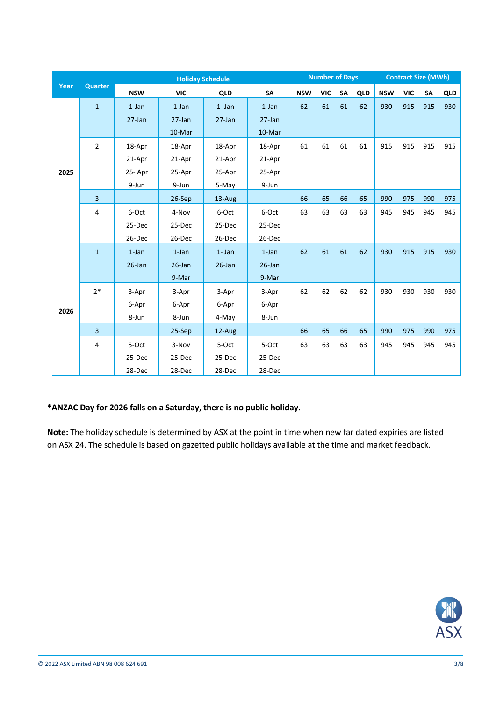|      |                | <b>Holiday Schedule</b> |            |           |           |            | <b>Number of Days</b> |    |            | <b>Contract Size (MWh)</b> |            |     |            |
|------|----------------|-------------------------|------------|-----------|-----------|------------|-----------------------|----|------------|----------------------------|------------|-----|------------|
| Year | <b>Quarter</b> | <b>NSW</b>              | <b>VIC</b> | QLD       | SA        | <b>NSW</b> | VIC                   | SA | <b>QLD</b> | <b>NSW</b>                 | <b>VIC</b> | SA  | <b>QLD</b> |
|      | $\mathbf{1}$   | $1$ -Jan                | $1$ -Jan   | $1 - Jan$ | $1$ -Jan  | 62         | 61                    | 61 | 62         | 930                        | 915        | 915 | 930        |
|      |                | $27$ -Jan               | $27$ -Jan  | $27$ -Jan | $27$ -Jan |            |                       |    |            |                            |            |     |            |
|      |                |                         | 10-Mar     |           | 10-Mar    |            |                       |    |            |                            |            |     |            |
|      | $\overline{2}$ | 18-Apr                  | 18-Apr     | 18-Apr    | 18-Apr    | 61         | 61                    | 61 | 61         | 915                        | 915        | 915 | 915        |
|      |                | 21-Apr                  | 21-Apr     | 21-Apr    | 21-Apr    |            |                       |    |            |                            |            |     |            |
| 2025 |                | 25-Apr                  | 25-Apr     | 25-Apr    | 25-Apr    |            |                       |    |            |                            |            |     |            |
|      |                | 9-Jun                   | 9-Jun      | 5-May     | 9-Jun     |            |                       |    |            |                            |            |     |            |
|      | $\mathbf{3}$   |                         | $26-Sep$   | 13-Aug    |           | 66         | 65                    | 66 | 65         | 990                        | 975        | 990 | 975        |
|      | 4              | 6-Oct                   | 4-Nov      | 6-Oct     | 6-Oct     | 63         | 63                    | 63 | 63         | 945                        | 945        | 945 | 945        |
|      |                | 25-Dec                  | 25-Dec     | 25-Dec    | 25-Dec    |            |                       |    |            |                            |            |     |            |
|      |                | 26-Dec                  | 26-Dec     | 26-Dec    | 26-Dec    |            |                       |    |            |                            |            |     |            |
|      | $\mathbf{1}$   | $1$ -Jan                | $1$ -Jan   | $1 - Jan$ | $1$ -Jan  | 62         | 61                    | 61 | 62         | 930                        | 915        | 915 | 930        |
|      |                | $26$ -Jan               | $26$ -Jan  | $26$ -Jan | $26$ -Jan |            |                       |    |            |                            |            |     |            |
|      |                |                         | 9-Mar      |           | 9-Mar     |            |                       |    |            |                            |            |     |            |
|      | $2*$           | 3-Apr                   | 3-Apr      | 3-Apr     | 3-Apr     | 62         | 62                    | 62 | 62         | 930                        | 930        | 930 | 930        |
|      |                | 6-Apr                   | 6-Apr      | 6-Apr     | 6-Apr     |            |                       |    |            |                            |            |     |            |
| 2026 |                | 8-Jun                   | 8-Jun      | 4-May     | 8-Jun     |            |                       |    |            |                            |            |     |            |
|      | $\overline{3}$ |                         | 25-Sep     | 12-Aug    |           | 66         | 65                    | 66 | 65         | 990                        | 975        | 990 | 975        |
|      | 4              | 5-Oct                   | 3-Nov      | 5-Oct     | 5-Oct     | 63         | 63                    | 63 | 63         | 945                        | 945        | 945 | 945        |
|      |                | 25-Dec                  | 25-Dec     | 25-Dec    | 25-Dec    |            |                       |    |            |                            |            |     |            |
|      |                | 28-Dec                  | 28-Dec     | 28-Dec    | 28-Dec    |            |                       |    |            |                            |            |     |            |

## **\*ANZAC Day for 2026 falls on a Saturday, there is no public holiday.**

**Note:** The holiday schedule is determined by ASX at the point in time when new far dated expiries are listed on ASX 24. The schedule is based on gazetted public holidays available at the time and market feedback.

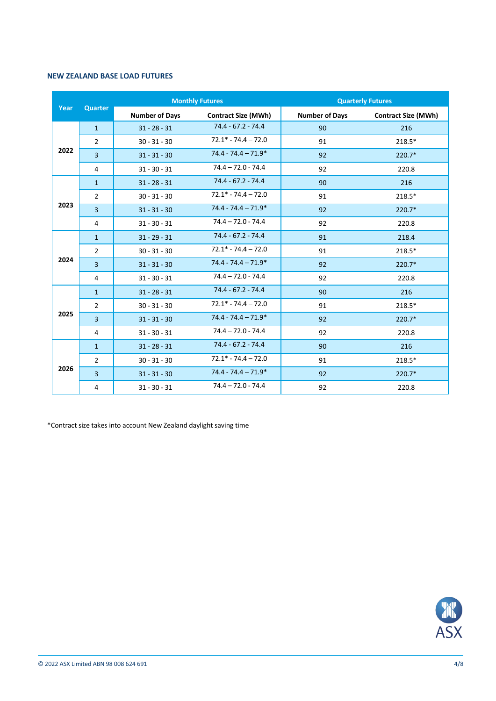#### **NEW ZEALAND BASE LOAD FUTURES**

|      |                |                       | <b>Monthly Futures</b>     | <b>Quarterly Futures</b> |                            |  |  |
|------|----------------|-----------------------|----------------------------|--------------------------|----------------------------|--|--|
| Year | Quarter        | <b>Number of Days</b> | <b>Contract Size (MWh)</b> | <b>Number of Days</b>    | <b>Contract Size (MWh)</b> |  |  |
|      | $\mathbf{1}$   | $31 - 28 - 31$        | 74.4 - 67.2 - 74.4         | 90                       | 216                        |  |  |
|      | $\overline{2}$ | $30 - 31 - 30$        | $72.1* - 74.4 - 72.0$      | 91                       | 218.5*                     |  |  |
| 2022 | $\overline{3}$ | $31 - 31 - 30$        | $74.4 - 74.4 - 71.9*$      | 92                       | $220.7*$                   |  |  |
|      | 4              | $31 - 30 - 31$        | $74.4 - 72.0 - 74.4$       | 92                       | 220.8                      |  |  |
|      | $\mathbf{1}$   | $31 - 28 - 31$        | $74.4 - 67.2 - 74.4$       | 90                       | 216                        |  |  |
|      | $\overline{2}$ | $30 - 31 - 30$        | $72.1* - 74.4 - 72.0$      | 91                       | 218.5*                     |  |  |
| 2023 | 3              | $31 - 31 - 30$        | $74.4 - 74.4 - 71.9*$      | 92                       | 220.7*                     |  |  |
|      | $\overline{4}$ | $31 - 30 - 31$        | $74.4 - 72.0 - 74.4$       | 92                       | 220.8                      |  |  |
|      | $\mathbf{1}$   | $31 - 29 - 31$        | 74.4 - 67.2 - 74.4         | 91                       | 218.4                      |  |  |
|      | $\overline{2}$ | $30 - 31 - 30$        | $72.1* - 74.4 - 72.0$      | 91                       | 218.5*                     |  |  |
| 2024 | $\overline{3}$ | $31 - 31 - 30$        | $74.4 - 74.4 - 71.9*$      | 92                       | $220.7*$                   |  |  |
|      | 4              | $31 - 30 - 31$        | $74.4 - 72.0 - 74.4$       | 92                       | 220.8                      |  |  |
|      | $\mathbf{1}$   | $31 - 28 - 31$        | $74.4 - 67.2 - 74.4$       | 90                       | 216                        |  |  |
|      | $\overline{2}$ | $30 - 31 - 30$        | $72.1* - 74.4 - 72.0$      | 91                       | 218.5*                     |  |  |
| 2025 | $\overline{3}$ | $31 - 31 - 30$        | $74.4 - 74.4 - 71.9*$      | 92                       | $220.7*$                   |  |  |
|      | 4              | $31 - 30 - 31$        | $74.4 - 72.0 - 74.4$       | 92                       | 220.8                      |  |  |
|      | $\mathbf{1}$   | $31 - 28 - 31$        | $74.4 - 67.2 - 74.4$       | 90                       | 216                        |  |  |
|      | $\overline{2}$ | $30 - 31 - 30$        | $72.1* - 74.4 - 72.0$      | 91                       | 218.5*                     |  |  |
| 2026 | $\overline{3}$ | $31 - 31 - 30$        | $74.4 - 74.4 - 71.9*$      | 92                       | $220.7*$                   |  |  |
|      | 4              | $31 - 30 - 31$        | $74.4 - 72.0 - 74.4$       | 92                       | 220.8                      |  |  |

\*Contract size takes into account New Zealand daylight saving time

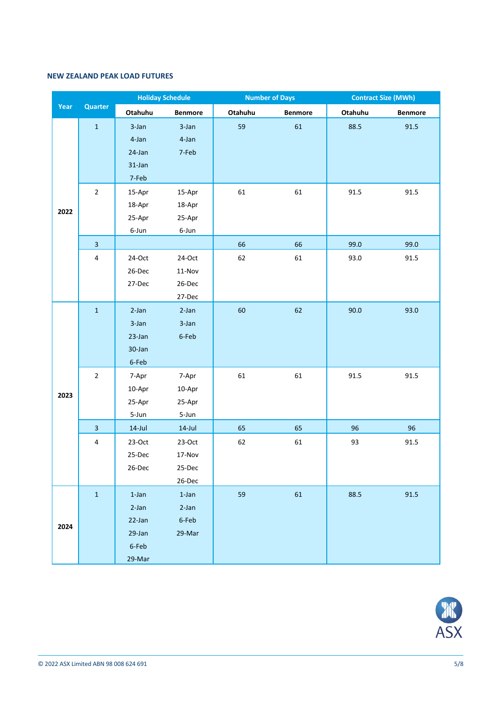#### **NEW ZEALAND PEAK LOAD FUTURES**

|      |                         | <b>Holiday Schedule</b> |                |         | <b>Number of Days</b> | <b>Contract Size (MWh)</b> |                |  |
|------|-------------------------|-------------------------|----------------|---------|-----------------------|----------------------------|----------------|--|
| Year | Quarter                 | Otahuhu                 | <b>Benmore</b> | Otahuhu | <b>Benmore</b>        | Otahuhu                    | <b>Benmore</b> |  |
|      | $\mathbf 1$             | 3-Jan                   | 3-Jan          | 59      | 61                    | 88.5                       | 91.5           |  |
|      |                         | 4-Jan                   | 4-Jan          |         |                       |                            |                |  |
|      |                         | 24-Jan                  | 7-Feb          |         |                       |                            |                |  |
|      |                         | $31$ -Jan               |                |         |                       |                            |                |  |
|      |                         | 7-Feb                   |                |         |                       |                            |                |  |
|      | $\overline{2}$          | 15-Apr                  | 15-Apr         | 61      | 61                    | 91.5                       | 91.5           |  |
| 2022 |                         | 18-Apr                  | 18-Apr         |         |                       |                            |                |  |
|      |                         | 25-Apr                  | 25-Apr         |         |                       |                            |                |  |
|      |                         | 6-Jun                   | 6-Jun          |         |                       |                            |                |  |
|      | $\overline{3}$          |                         |                | 66      | 66                    | 99.0                       | 99.0           |  |
|      | $\pmb{4}$               | 24-Oct                  | 24-Oct         | 62      | 61                    | 93.0                       | 91.5           |  |
|      |                         | 26-Dec                  | $11-Nov$       |         |                       |                            |                |  |
|      |                         | 27-Dec                  | 26-Dec         |         |                       |                            |                |  |
|      |                         |                         | 27-Dec         |         |                       |                            |                |  |
|      | $\mathbf{1}$            | $2-Jan$                 | $2-Jan$        | 60      | 62                    | 90.0                       | 93.0           |  |
|      |                         | 3-Jan                   | 3-Jan          |         |                       |                            |                |  |
|      |                         | 23-Jan                  | 6-Feb          |         |                       |                            |                |  |
|      |                         | 30-Jan                  |                |         |                       |                            |                |  |
|      |                         | 6-Feb                   |                |         |                       |                            |                |  |
|      | $\overline{2}$          | 7-Apr                   | 7-Apr          | 61      | 61                    | 91.5                       | 91.5           |  |
| 2023 |                         | 10-Apr                  | 10-Apr         |         |                       |                            |                |  |
|      |                         | 25-Apr                  | 25-Apr         |         |                       |                            |                |  |
|      |                         | 5-Jun                   | 5-Jun          |         |                       |                            |                |  |
|      | $\overline{\mathbf{3}}$ | $14$ -Jul               | $14$ -Jul      | 65      | 65                    | 96                         | 96             |  |
|      | $\overline{\mathbf{4}}$ | $23-Oct$                | 23-Oct         | 62      | 61                    | 93                         | 91.5           |  |
|      |                         | 25-Dec                  | 17-Nov         |         |                       |                            |                |  |
|      |                         | 26-Dec                  | 25-Dec         |         |                       |                            |                |  |
|      |                         |                         | 26-Dec         |         |                       |                            |                |  |
|      | $\mathbf 1$             | $1$ -Jan                | $1$ -Jan       | 59      | 61                    | 88.5                       | 91.5           |  |
|      |                         | $2-Jan$                 | $2-Jan$        |         |                       |                            |                |  |
| 2024 |                         | 22-Jan                  | 6-Feb          |         |                       |                            |                |  |
|      |                         | 29-Jan                  | 29-Mar         |         |                       |                            |                |  |
|      |                         | 6-Feb                   |                |         |                       |                            |                |  |
|      |                         | 29-Mar                  |                |         |                       |                            |                |  |

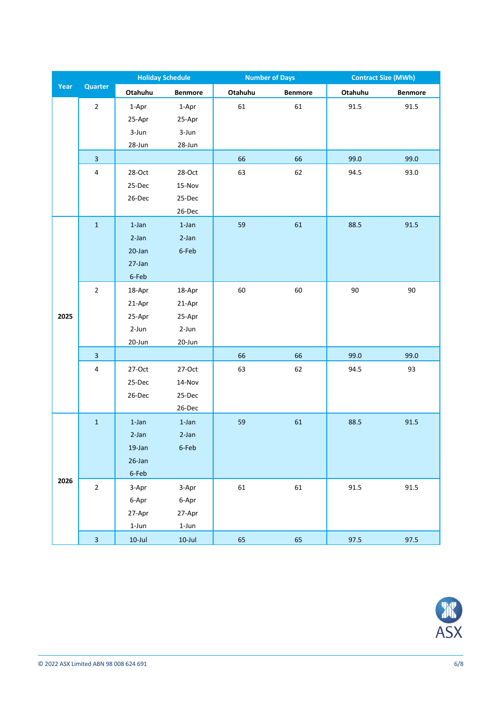|      |                         | <b>Holiday Schedule</b> |                |         | <b>Number of Days</b> | <b>Contract Size (MWh)</b> |                |  |
|------|-------------------------|-------------------------|----------------|---------|-----------------------|----------------------------|----------------|--|
| Year | <b>Quarter</b>          | Otahuhu                 | <b>Benmore</b> | Otahuhu | <b>Benmore</b>        | Otahuhu                    | <b>Benmore</b> |  |
|      | $\overline{2}$          | 1-Apr                   | 1-Apr          | 61      | 61                    | 91.5                       | 91.5           |  |
|      |                         | 25-Apr                  | 25-Apr         |         |                       |                            |                |  |
|      |                         | 3-Jun                   | 3-Jun          |         |                       |                            |                |  |
|      |                         | 28-Jun                  | 28-Jun         |         |                       |                            |                |  |
|      | $\overline{3}$          |                         |                | 66      | 66                    | 99.0                       | 99.0           |  |
|      | $\overline{4}$          | 28-Oct                  | 28-Oct         | 63      | 62                    | 94.5                       | 93.0           |  |
|      |                         | 25-Dec                  | 15-Nov         |         |                       |                            |                |  |
|      |                         | 26-Dec                  | 25-Dec         |         |                       |                            |                |  |
|      |                         |                         | 26-Dec         |         |                       |                            |                |  |
|      | $\mathbf 1$             | $1$ -Jan                | $1$ -Jan       | 59      | 61                    | 88.5                       | 91.5           |  |
|      |                         | 2-Jan                   | $2-Jan$        |         |                       |                            |                |  |
|      |                         | 20-Jan                  | 6-Feb          |         |                       |                            |                |  |
|      |                         | 27-Jan                  |                |         |                       |                            |                |  |
|      |                         | 6-Feb                   |                |         |                       |                            |                |  |
|      | $\overline{2}$          | 18-Apr                  | 18-Apr         | 60      | 60                    | 90                         | 90             |  |
|      |                         | 21-Apr                  | 21-Apr         |         |                       |                            |                |  |
| 2025 |                         | 25-Apr                  | 25-Apr         |         |                       |                            |                |  |
|      |                         | $2-Jun$                 | 2-Jun          |         |                       |                            |                |  |
|      |                         | 20-Jun                  | 20-Jun         |         |                       |                            |                |  |
|      | $\overline{\mathbf{3}}$ |                         |                | 66      | 66                    | 99.0                       | 99.0           |  |
|      | $\pmb{4}$               | 27-Oct                  | 27-Oct         | 63      | 62                    | 94.5                       | 93             |  |
|      |                         | 25-Dec                  | 14-Nov         |         |                       |                            |                |  |
|      |                         | 26-Dec                  | 25-Dec         |         |                       |                            |                |  |
|      |                         |                         | 26-Dec         |         |                       |                            |                |  |
|      | $\mathbf 1$             | $1$ -Jan                | $1$ -Jan       | 59      | 61                    | 88.5                       | 91.5           |  |
|      |                         | 2-Jan                   | $2-Jan$        |         |                       |                            |                |  |
|      |                         | 19-Jan                  | 6-Feb          |         |                       |                            |                |  |
|      |                         | 26-Jan                  |                |         |                       |                            |                |  |
|      |                         | 6-Feb                   |                |         |                       |                            |                |  |
| 2026 | $\overline{2}$          | 3-Apr                   | 3-Apr          | 61      | 61                    | 91.5                       | 91.5           |  |
|      |                         | 6-Apr                   | 6-Apr          |         |                       |                            |                |  |
|      |                         | 27-Apr                  | 27-Apr         |         |                       |                            |                |  |
|      |                         | $1 - Jun$               | $1 - Jun$      |         |                       |                            |                |  |
|      | $\overline{\mathbf{3}}$ | $10$ -Jul               | $10$ -Jul      | 65      | 65                    | 97.5                       | 97.5           |  |

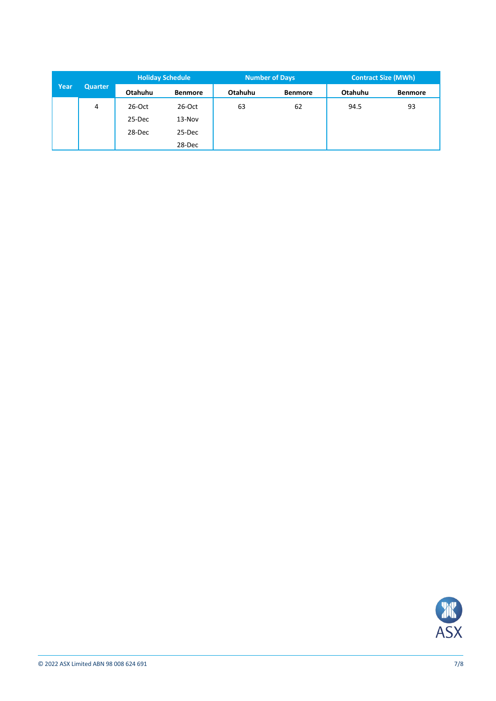|      | <b>Quarter</b> | <b>Holiday Schedule</b> |                | <b>Number of Days</b> |                | <b>Contract Size (MWh)</b> |                |  |
|------|----------------|-------------------------|----------------|-----------------------|----------------|----------------------------|----------------|--|
| Year |                | Otahuhu                 | <b>Benmore</b> | Otahuhu               | <b>Benmore</b> | Otahuhu                    | <b>Benmore</b> |  |
|      | 4              | $26$ -Oct               | 26-Oct         | 63                    | 62             | 94.5                       | 93             |  |
|      |                | 25-Dec                  | 13-Nov         |                       |                |                            |                |  |
|      |                | 28-Dec                  | 25-Dec         |                       |                |                            |                |  |
|      |                |                         | 28-Dec         |                       |                |                            |                |  |